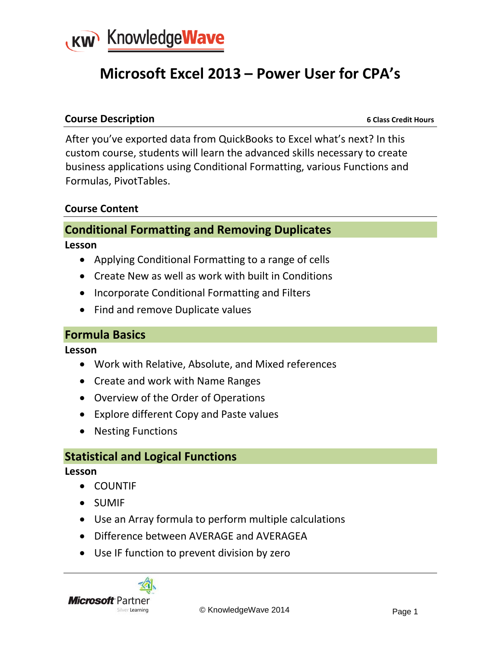

# **Microsoft Excel 2013 – Power User for CPA's**

#### **Course Description** *Course Description*

After you've exported data from QuickBooks to Excel what's next? In this custom course, students will learn the advanced skills necessary to create business applications using Conditional Formatting, various Functions and Formulas, PivotTables.

#### **Course Content**

# **Conditional Formatting and Removing Duplicates**

**Lesson**

- Applying Conditional Formatting to a range of cells
- Create New as well as work with built in Conditions
- Incorporate Conditional Formatting and Filters
- Find and remove Duplicate values

#### **Formula Basics**

**Lesson**

- Work with Relative, Absolute, and Mixed references
- Create and work with Name Ranges
- Overview of the Order of Operations
- Explore different Copy and Paste values
- Nesting Functions

#### **Statistical and Logical Functions**

**Lesson**

- COUNTIF
- SUMIF
- Use an Array formula to perform multiple calculations
- Difference between AVERAGE and AVERAGEA
- Use IF function to prevent division by zero



Silver Learning